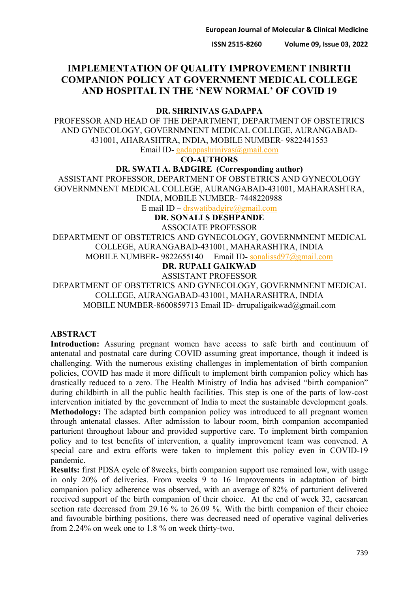# **IMPLEMENTATION OF QUALITY IMPROVEMENT INBIRTH COMPANION POLICY AT GOVERNMENT MEDICAL COLLEGE AND HOSPITAL IN THE 'NEW NORMAL' OF COVID 19**

#### **DR. SHRINIVAS GADAPPA**

PROFESSOR AND HEAD OF THE DEPARTMENT, DEPARTMENT OF OBSTETRICS AND GYNECOLOGY, GOVERNMNENT MEDICAL COLLEGE, AURANGABAD-431001, AHARASHTRA, INDIA, MOBILE NUMBER- 9822441553

Email ID- [gadappashrinivas@gmail.com](mailto:gadappashrinivas@gmail.com)

**CO-AUTHORS**

### **DR. SWATI A. BADGIRE (Corresponding author)**

ASSISTANT PROFESSOR, DEPARTMENT OF OBSTETRICS AND GYNECOLOGY GOVERNMNENT MEDICAL COLLEGE, AURANGABAD-431001, MAHARASHTRA, INDIA, MOBILE NUMBER- 7448220988

E mail ID – [drswatibadgire@gmail.com](mailto:drswatibadgire@gmail.com)

**DR. SONALI S DESHPANDE**

ASSOCIATE PROFESSOR

DEPARTMENT OF OBSTETRICS AND GYNECOLOGY, GOVERNMNENT MEDICAL COLLEGE, AURANGABAD-431001, MAHARASHTRA, INDIA MOBILE NUMBER- 9822655140 Email ID- [sonalissd97@gmail.com](mailto:sonalissd97@gmail.com)

**DR. RUPALI GAIKWAD**

ASSISTANT PROFESSOR

DEPARTMENT OF OBSTETRICS AND GYNECOLOGY, GOVERNMNENT MEDICAL COLLEGE, AURANGABAD-431001, MAHARASHTRA, INDIA MOBILE NUMBER-8600859713 Email ID- drrupaligaikwad@gmail.com

#### **ABSTRACT**

Introduction: Assuring pregnant women have access to safe birth and continuum of antenatal and postnatal care during COVID assuming great importance, though it indeed is challenging. With the numerous existing challenges in implementation of birth companion policies, COVID has made it more difficult to implement birth companion policy which has drastically reduced to a zero. The Health Ministry of India has advised "birth companion" during childbirth in all the public health facilities. This step is one of the parts of low-cost intervention initiated by the government of India to meet the sustainable development goals. **Methodology:** The adapted birth companion policy was introduced to all pregnant women through antenatal classes. After admission to labour room, birth companion accompanied parturient throughout labour and provided supportive care. To implement birth companion policy and to test benefits of intervention, a quality improvement team was convened. A special care and extra efforts were taken to implement this policy even in COVID-19 pandemic.

**Results:** first PDSA cycle of 8weeks, birth companion support use remained low, with usage in only 20% of deliveries. From weeks 9 to 16 Improvements in adaptation of birth companion policy adherence was observed, with an average of 82% of parturient delivered received support of the birth companion of their choice. At the end of week 32, caesarean section rate decreased from 29.16 % to 26.09 %. With the birth companion of their choice and favourable birthing positions, there was decreased need of operative vaginal deliveries from 2.24% on week one to 1.8 % on week thirty-two.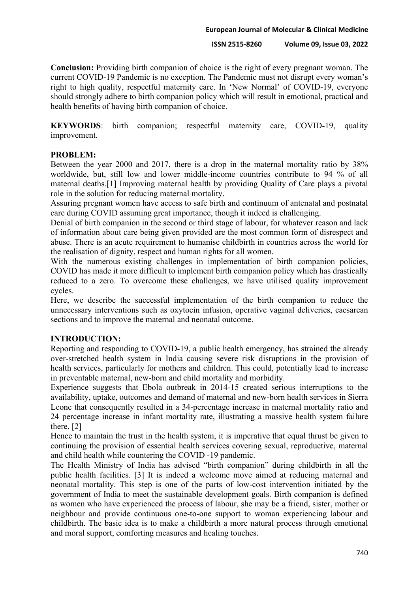**Conclusion:** Providing birth companion of choice is the right of every pregnant woman. The current COVID-19 Pandemic is no exception. The Pandemic must not disrupt every woman's right to high quality, respectful maternity care. In 'New Normal' of COVID-19, everyone should strongly adhere to birth companion policy which will result in emotional, practical and health benefits of having birth companion of choice.

**KEYWORDS**: birth companion; respectful maternity care, COVID-19, quality improvement.

#### **PROBLEM:**

Between the year 2000 and 2017, there is a drop in the maternal mortality ratio by 38% worldwide, but, still low and lower middle-income countries contribute to 94 % of all maternal deaths.[1] Improving maternal health by providing Quality of Care plays a pivotal role in the solution for reducing maternal mortality.

Assuring pregnant women have access to safe birth and continuum of antenatal and postnatal care during COVID assuming great importance, though it indeed is challenging.

Denial of birth companion in the second or third stage of labour, for whatever reason and lack of information about care being given provided are the most common form of disrespect and abuse. There is an acute requirement to humanise childbirth in countries across the world for the realisation of dignity, respect and human rights for all women.

With the numerous existing challenges in implementation of birth companion policies, COVID has made it more difficult to implement birth companion policy which has drastically reduced to a zero. To overcome these challenges, we have utilised quality improvement cycles.

Here, we describe the successful implementation of the birth companion to reduce the unnecessary interventions such as oxytocin infusion, operative vaginal deliveries, caesarean sections and to improve the maternal and neonatal outcome.

#### **INTRODUCTION:**

Reporting and responding to COVID-19, a public health emergency, has strained the already over-stretched health system in India causing severe risk disruptions in the provision of health services, particularly for mothers and children. This could, potentially lead to increase in preventable maternal, new-born and child mortality and morbidity.

Experience suggests that Ebola outbreak in 2014-15 created serious interruptions to the availability, uptake, outcomes and demand of maternal and new-born health services in Sierra Leone that consequently resulted in a 34-percentage increase in maternal mortality ratio and 24 percentage increase in infant mortality rate, illustrating a massive health system failure there. [2]

Hence to maintain the trust in the health system, it is imperative that equal thrust be given to continuing the provision of essential health services covering sexual, reproductive, maternal and child health while countering the COVID -19 pandemic.

The Health Ministry of India has advised "birth companion" during childbirth in all the public health facilities. [3] It is indeed a welcome move aimed at reducing maternal and neonatal mortality. This step is one of the parts of low-cost intervention initiated by the government of India to meet the sustainable development goals. Birth companion is defined as women who have experienced the process of labour, she may be a friend, sister, mother or neighbour and provide continuous one-to-one support to woman experiencing labour and childbirth. The basic idea is to make a childbirth a more natural process through emotional and moral support, comforting measures and healing touches.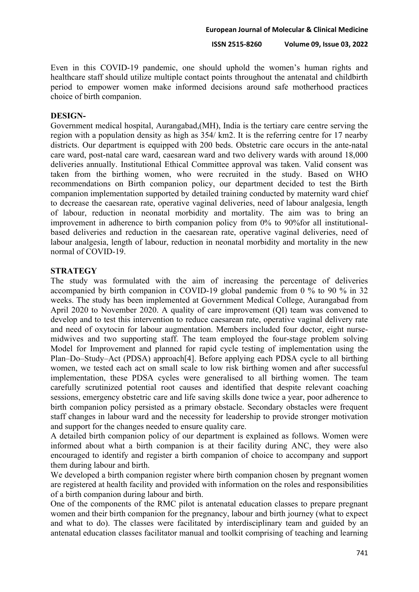Even in this COVID-19 pandemic, one should uphold the women's human rights and healthcare staff should utilize multiple contact points throughout the antenatal and childbirth period to empower women make informed decisions around safe motherhood practices choice of birth companion.

#### **DESIGN-**

Government medical hospital, Aurangabad,(MH), India is the tertiary care centre serving the region with a population density as high as 354/ km2. It is the referring centre for 17 nearby districts. Our department is equipped with 200 beds. Obstetric care occurs in the ante-natal care ward, post-natal care ward, caesarean ward and two delivery wards with around 18,000 deliveries annually. Institutional Ethical Committee approval was taken. Valid consent was taken from the birthing women, who were recruited in the study. Based on WHO recommendations on Birth companion policy, our department decided to test the Birth companion implementation supported by detailed training conducted by maternity ward chief to decrease the caesarean rate, operative vaginal deliveries, need of labour analgesia, length of labour, reduction in neonatal morbidity and mortality. The aim was to bring an improvement in adherence to birth companion policy from 0% to 90%for all institutionalbased deliveries and reduction in the caesarean rate, operative vaginal deliveries, need of labour analgesia, length of labour, reduction in neonatal morbidity and mortality in the new normal of COVID-19.

#### **STRATEGY**

The study was formulated with the aim of increasing the percentage of deliveries accompanied by birth companion in COVID-19 global pandemic from 0 % to 90 % in 32 weeks. The study has been implemented at Government Medical College, Aurangabad from April 2020 to November 2020. A quality of care improvement (QI) team was convened to develop and to test this intervention to reduce caesarean rate, operative vaginal delivery rate and need of oxytocin for labour augmentation. Members included four doctor, eight nursemidwives and two supporting staff. The team employed the four-stage problem solving Model for Improvement and planned for rapid cycle testing of implementation using the Plan–Do–Study–Act (PDSA) approach[4]. Before applying each PDSA cycle to all birthing women, we tested each act on small scale to low risk birthing women and after successful implementation, these PDSA cycles were generalised to all birthing women. The team carefully scrutinized potential root causes and identified that despite relevant coaching sessions, emergency obstetric care and life saving skills done twice a year, poor adherence to birth companion policy persisted as a primary obstacle. Secondary obstacles were frequent staff changes in labour ward and the necessity for leadership to provide stronger motivation and support for the changes needed to ensure quality care.

A detailed birth companion policy of our department is explained as follows. Women were informed about what a birth companion is at their facility during ANC, they were also encouraged to identify and register a birth companion of choice to accompany and support them during labour and birth.

We developed a birth companion register where birth companion chosen by pregnant women are registered at health facility and provided with information on the roles and responsibilities of a birth companion during labour and birth.

One of the components of the RMC pilot is antenatal education classes to prepare pregnant women and their birth companion for the pregnancy, labour and birth journey (what to expect and what to do). The classes were facilitated by interdisciplinary team and guided by an antenatal education classes facilitator manual and toolkit comprising of teaching and learning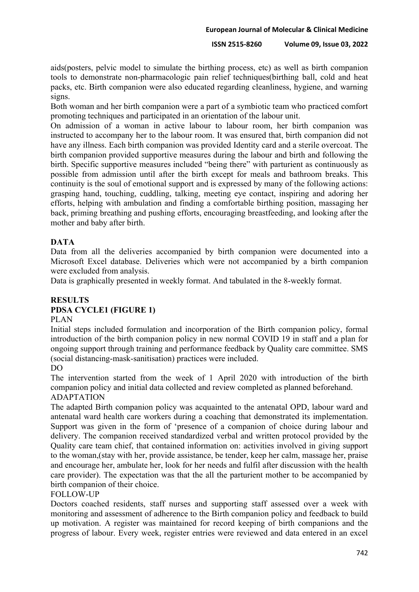aids(posters, pelvic model to simulate the birthing process, etc) as well as birth companion tools to demonstrate non-pharmacologic pain relief techniques(birthing ball, cold and heat packs, etc. Birth companion were also educated regarding cleanliness, hygiene, and warning signs.

Both woman and her birth companion were a part of a symbiotic team who practiced comfort promoting techniques and participated in an orientation of the labour unit.

On admission of a woman in active labour to labour room, her birth companion was instructed to accompany her to the labour room. It was ensured that, birth companion did not have any illness. Each birth companion was provided Identity card and a sterile overcoat. The birth companion provided supportive measures during the labour and birth and following the birth. Specific supportive measures included "being there" with parturient as continuously as possible from admission until after the birth except for meals and bathroom breaks. This continuity is the soul of emotional support and is expressed by many of the following actions: grasping hand, touching, cuddling, talking, meeting eye contact, inspiring and adoring her efforts, helping with ambulation and finding a comfortable birthing position, massaging her back, priming breathing and pushing efforts, encouraging breastfeeding, and looking after the mother and baby after birth.

## **DATA**

Data from all the deliveries accompanied by birth companion were documented into a Microsoft Excel database. Deliveries which were not accompanied by a birth companion were excluded from analysis.

Data is graphically presented in weekly format. And tabulated in the 8-weekly format.

# **RESULTS PDSA CYCLE1 (FIGURE 1)**

### PLAN

Initial steps included formulation and incorporation of the Birth companion policy, formal introduction of the birth companion policy in new normal COVID 19 in staff and a plan for ongoing support through training and performance feedback by Quality care committee. SMS (social distancing-mask-sanitisation) practices were included.

#### DO

The intervention started from the week of 1 April 2020 with introduction of the birth companion policy and initial data collected and review completed as planned beforehand. ADAPTATION

The adapted Birth companion policy was acquainted to the antenatal OPD, labour ward and antenatal ward health care workers during a coaching that demonstrated its implementation. Support was given in the form of 'presence of a companion of choice during labour and delivery. The companion received standardized verbal and written protocol provided by the Quality care team chief, that contained information on: activities involved in giving support to the woman,(stay with her, provide assistance, be tender, keep her calm, massage her, praise and encourage her, ambulate her, look for her needs and fulfil after discussion with the health care provider). The expectation was that the all the parturient mother to be accompanied by birth companion of their choice.

#### FOLLOW-UP

Doctors coached residents, staff nurses and supporting staff assessed over a week with monitoring and assessment of adherence to the Birth companion policy and feedback to build up motivation. A register was maintained for record keeping of birth companions and the progress of labour. Every week, register entries were reviewed and data entered in an excel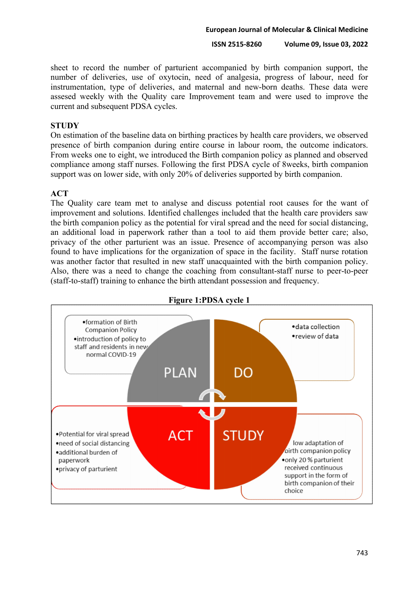sheet to record the number of parturient accompanied by birth companion support, the number of deliveries, use of oxytocin, need of analgesia, progress of labour, need for instrumentation, type of deliveries, and maternal and new-born deaths. These data were assesed weekly with the Quality care Improvement team and were used to improve the current and subsequent PDSA cycles.

### **STUDY**

On estimation of the baseline data on birthing practices by health care providers, we observed presence of birth companion during entire course in labour room, the outcome indicators. From weeks one to eight, we introduced the Birth companion policy as planned and observed compliance among staff nurses. Following the first PDSA cycle of 8weeks, birth companion support was on lower side, with only 20% of deliveries supported by birth companion.

## **ACT**

The Quality care team met to analyse and discuss potential root causes for the want of improvement and solutions. Identified challenges included that the health care providers saw the birth companion policy as the potential for viral spread and the need for social distancing, an additional load in paperwork rather than a tool to aid them provide better care; also, privacy of the other parturient was an issue. Presence of accompanying person was also found to have implications for the organization of space in the facility. Staff nurse rotation was another factor that resulted in new staff unacquainted with the birth companion policy. Also, there was a need to change the coaching from consultant-staff nurse to peer-to-peer (staff-to-staff) training to enhance the birth attendant possession and frequency.



**Figure 1:PDSA cycle 1**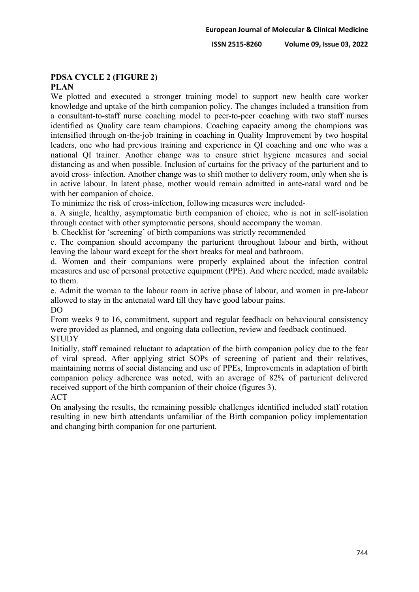# **PDSA CYCLE 2 (FIGURE 2)**

## **PLAN**

We plotted and executed a stronger training model to support new health care worker knowledge and uptake of the birth companion policy. The changes included a transition from a consultant-to-staff nurse coaching model to peer-to-peer coaching with two staff nurses identified as Quality care team champions. Coaching capacity among the champions was intensified through on-the-job training in coaching in Quality Improvement by two hospital leaders, one who had previous training and experience in QI coaching and one who was a national QI trainer. Another change was to ensure strict hygiene measures and social distancing as and when possible. Inclusion of curtains for the privacy of the parturient and to avoid cross- infection. Another change was to shift mother to delivery room, only when she is in active labour. In latent phase, mother would remain admitted in ante-natal ward and be with her companion of choice.

To minimize the risk of cross-infection, following measures were included-

a. A single, healthy, asymptomatic birth companion of choice, who is not in self-isolation through contact with other symptomatic persons, should accompany the woman.

b. Checklist for 'screening' of birth companions was strictly recommended

c. The companion should accompany the parturient throughout labour and birth, without leaving the labour ward except for the short breaks for meal and bathroom.

d. Women and their companions were properly explained about the infection control measures and use of personal protective equipment (PPE). And where needed, made available to them.

e. Admit the woman to the labour room in active phase of labour, and women in pre-labour allowed to stay in the antenatal ward till they have good labour pains. DO

From weeks 9 to 16, commitment, support and regular feedback on behavioural consistency were provided as planned, and ongoing data collection, review and feedback continued. **STUDY** 

Initially, staff remained reluctant to adaptation of the birth companion policy due to the fear of viral spread. After applying strict SOPs of screening of patient and their relatives, maintaining norms of social distancing and use of PPEs, Improvements in adaptation of birth companion policy adherence was noted, with an average of 82% of parturient delivered received support of the birth companion of their choice (figures 3). ACT

On analysing the results, the remaining possible challenges identified included staff rotation resulting in new birth attendants unfamiliar of the Birth companion policy implementation and changing birth companion for one parturient.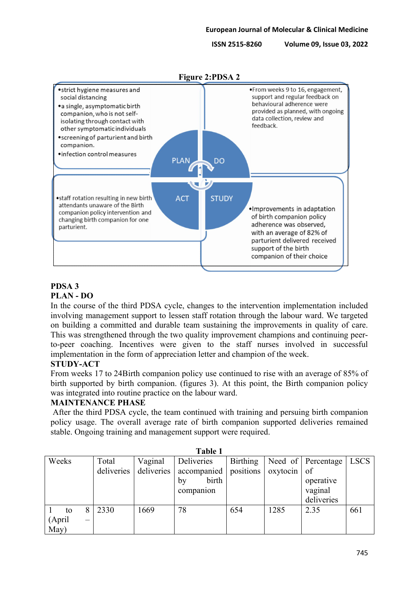

# **PDSA 3**

**PLAN - DO**

In the course of the third PDSA cycle, changes to the intervention implementation included involving management support to lessen staff rotation through the labour ward. We targeted on building a committed and durable team sustaining the improvements in quality of care. This was strengthened through the two quality improvement champions and continuing peerto-peer coaching. Incentives were given to the staff nurses involved in successful implementation in the form of appreciation letter and champion of the week.

# **STUDY-ACT**

From weeks 17 to 24Birth companion policy use continued to rise with an average of 85% of birth supported by birth companion. (figures 3). At this point, the Birth companion policy was integrated into routine practice on the labour ward.

# **MAINTENANCE PHASE**

After the third PDSA cycle, the team continued with training and persuing birth companion policy usage. The overall average rate of birth companion supported deliveries remained stable. Ongoing training and management support were required.

| * * * * * * |  |            |            |                       |                 |               |                    |             |  |  |  |  |
|-------------|--|------------|------------|-----------------------|-----------------|---------------|--------------------|-------------|--|--|--|--|
| Weeks       |  | Total      | Vaginal    | Deliveries            | <b>Birthing</b> |               | Need of Percentage | <b>LSCS</b> |  |  |  |  |
|             |  | deliveries | deliveries | accompanied positions |                 | $oxytocin$ of |                    |             |  |  |  |  |
|             |  |            |            | birth<br>bv           |                 |               | operative          |             |  |  |  |  |
|             |  |            |            | companion             |                 |               | vaginal            |             |  |  |  |  |
|             |  |            |            |                       |                 |               | deliveries         |             |  |  |  |  |
| to          |  | 2330       | 1669       | 78                    | 654             | 1285          | 2.35               | 661         |  |  |  |  |
| (April      |  |            |            |                       |                 |               |                    |             |  |  |  |  |
| May)        |  |            |            |                       |                 |               |                    |             |  |  |  |  |

**Table 1**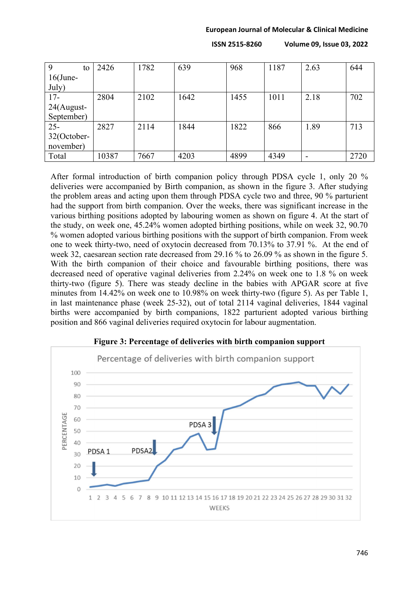#### **European Journal of Molecular & Clinical Medicine**

**ISSN 2515-8260 Volume 09, Issue 03, 2022**

| 9<br>to     | 2426  | 1782 | 639  | 968  | 1187 | 2.63 | 644  |
|-------------|-------|------|------|------|------|------|------|
| $16$ (June- |       |      |      |      |      |      |      |
| July)       |       |      |      |      |      |      |      |
| $17-$       | 2804  | 2102 | 1642 | 1455 | 1011 | 2.18 | 702  |
| 24(August-  |       |      |      |      |      |      |      |
| September)  |       |      |      |      |      |      |      |
| $25 -$      | 2827  | 2114 | 1844 | 1822 | 866  | 1.89 | 713  |
| 32(October- |       |      |      |      |      |      |      |
| november)   |       |      |      |      |      |      |      |
| Total       | 10387 | 7667 | 4203 | 4899 | 4349 |      | 2720 |

After formal introduction of birth companion policy through PDSA cycle 1, only 20 % deliveries were accompanied by Birth companion, as shown in the figure 3. After studying the problem areas and acting upon them through PDSA cycle two and three, 90 % parturient had the support from birth companion. Over the weeks, there was significant increase in the various birthing positions adopted by labouring women as shown on figure 4. At the start of the study, on week one, 45.24% women adopted birthing positions, while on week 32, 90.70 % women adopted various birthing positions with the support of birth companion. From week one to week thirty-two, need of oxytocin decreased from 70.13% to 37.91 %. At the end of week 32, caesarean section rate decreased from 29.16 % to 26.09 % as shown in the figure 5. With the birth companion of their choice and favourable birthing positions, there was decreased need of operative vaginal deliveries from 2.24% on week one to 1.8 % on week thirty-two (figure 5). There was steady decline in the babies with APGAR score at five minutes from 14.42% on week one to 10.98% on week thirty-two (figure 5). As per Table 1, in last maintenance phase (week 25-32), out of total 2114 vaginal deliveries, 1844 vaginal births were accompanied by birth companions, 1822 parturient adopted various birthing position and 866 vaginal deliveries required oxytocin for labour augmentation.



#### **Figure 3: Percentage of deliveries with birth companion support**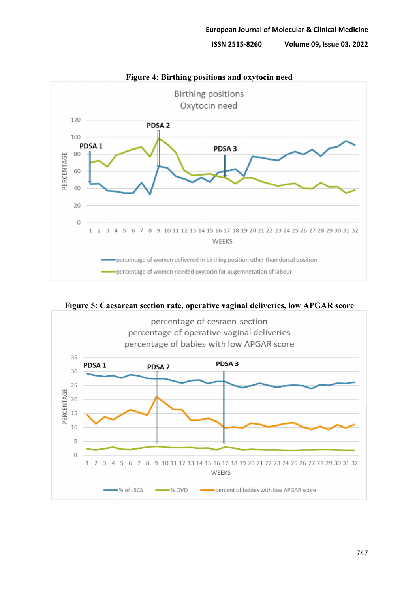



**Figure 5: Caesarean section rate, operative vaginal deliveries, low APGAR score**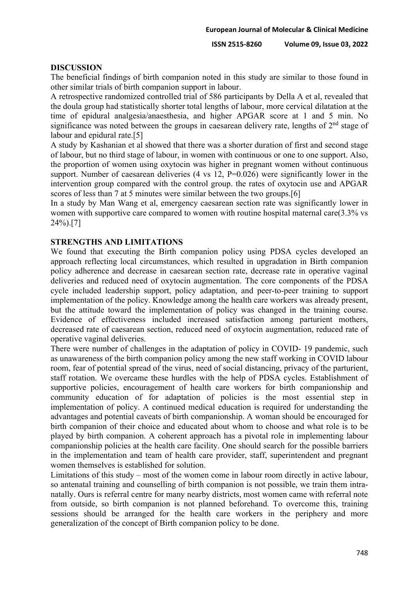#### **DISCUSSION**

The beneficial findings of birth companion noted in this study are similar to those found in other similar trials of birth companion support in labour.

A retrospective randomized controlled trial of 586 participants by Della A et al, revealed that the doula group had statistically shorter total lengths of labour, more cervical dilatation at the time of epidural analgesia/anaesthesia, and higher APGAR score at 1 and 5 min. No significance was noted between the groups in caesarean delivery rate, lengths of  $2<sup>nd</sup>$  stage of labour and epidural rate.[5]

A study by Kashanian et al showed that there was a shorter duration of first and second stage of labour, but no third stage of labour, in women with continuous or one to one support. Also, the proportion of women using oxytocin was higher in pregnant women without continuous support. Number of caesarean deliveries (4 vs 12, P=0.026) were significantly lower in the intervention group compared with the control group. the rates of oxytocin use and APGAR scores of less than 7 at 5 minutes were similar between the two groups.[6]

In a study by Man Wang et al, emergency caesarean section rate was significantly lower in women with supportive care compared to women with routine hospital maternal care  $(3.3\%$  vs 24%).[7]

#### **STRENGTHS AND LIMITATIONS**

We found that executing the Birth companion policy using PDSA cycles developed an approach reflecting local circumstances, which resulted in upgradation in Birth companion policy adherence and decrease in caesarean section rate, decrease rate in operative vaginal deliveries and reduced need of oxytocin augmentation. The core components of the PDSA cycle included leadership support, policy adaptation, and peer-to-peer training to support implementation of the policy. Knowledge among the health care workers was already present, but the attitude toward the implementation of policy was changed in the training course. Evidence of effectiveness included increased satisfaction among parturient mothers, decreased rate of caesarean section, reduced need of oxytocin augmentation, reduced rate of operative vaginal deliveries.

There were number of challenges in the adaptation of policy in COVID- 19 pandemic, such as unawareness of the birth companion policy among the new staff working in COVID labour room, fear of potential spread of the virus, need of social distancing, privacy of the parturient, staff rotation. We overcame these hurdles with the help of PDSA cycles. Establishment of supportive policies, encouragement of health care workers for birth companionship and community education of for adaptation of policies is the most essential step in implementation of policy. A continued medical education is required for understanding the advantages and potential caveats of birth companionship. A woman should be encouraged for birth companion of their choice and educated about whom to choose and what role is to be played by birth companion. A coherent approach has a pivotal role in implementing labour companionship policies at the health care facility. One should search for the possible barriers in the implementation and team of health care provider, staff, superintendent and pregnant women themselves is established for solution.

Limitations of this study – most of the women come in labour room directly in active labour, so antenatal training and counselling of birth companion is not possible, we train them intranatally. Ours is referral centre for many nearby districts, most women came with referral note from outside, so birth companion is not planned beforehand. To overcome this, training sessions should be arranged for the health care workers in the periphery and more generalization of the concept of Birth companion policy to be done.